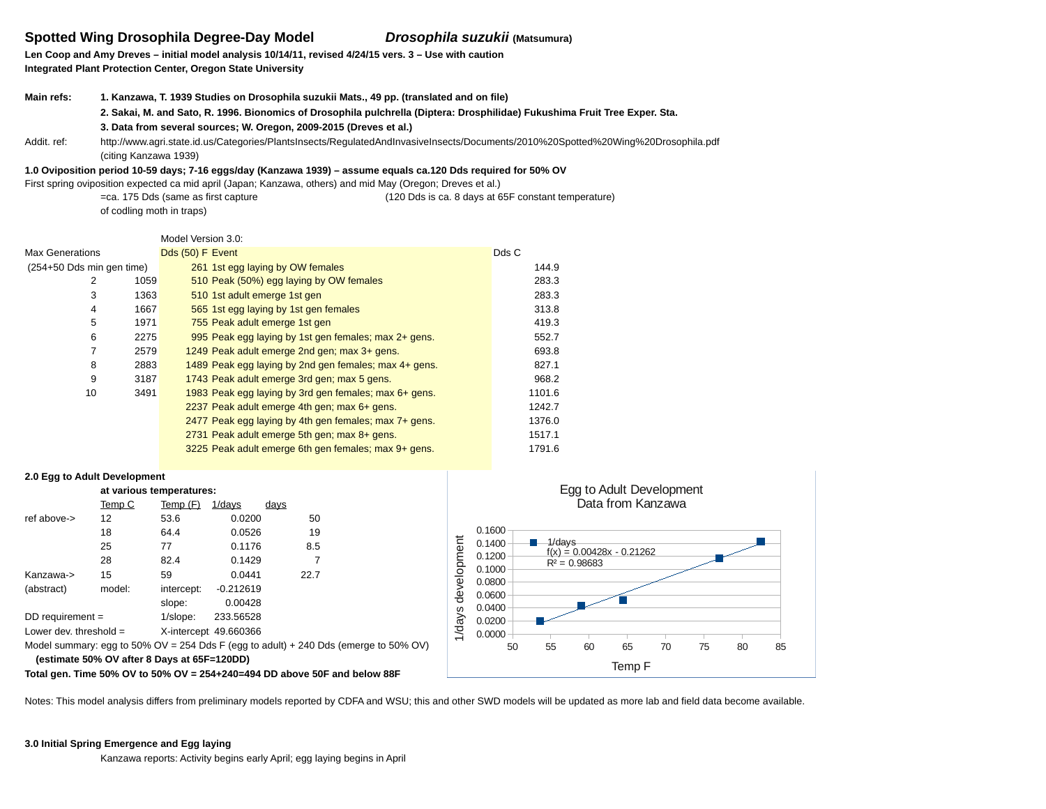# **Spotted Wing Drosophila Degree-Day Model**

*Drosophila suzukii* **(Matsumura)**

**Len Coop and Amy Dreves – initial model analysis 10/14/11, revised 4/24/15 vers. 3 – Use with caution Integrated Plant Protection Center, Oregon State University**

| Main refs:  | 1. Kanzawa, T. 1939 Studies on Drosophila suzukii Mats., 49 pp. (translated and on file)                                          |  |  |  |  |  |  |
|-------------|-----------------------------------------------------------------------------------------------------------------------------------|--|--|--|--|--|--|
|             | 2. Sakai, M. and Sato, R. 1996. Bionomics of Drosophila pulchrella (Diptera: Drosphilidae) Fukushima Fruit Tree Exper. Sta.       |  |  |  |  |  |  |
|             | 3. Data from several sources; W. Oregon, 2009-2015 (Dreves et al.)                                                                |  |  |  |  |  |  |
| Addit. ref: | http://www.agri.state.id.us/Categories/PlantsInsects/RegulatedAndInvasiveInsects/Documents/2010%20Spotted%20Wing%20Drosophila.pdf |  |  |  |  |  |  |
|             | (citing Kanzawa 1939)                                                                                                             |  |  |  |  |  |  |

#### **1.0 Oviposition period 10-59 days; 7-16 eggs/day (Kanzawa 1939) – assume equals ca.120 Dds required for 50% OV**

First spring oviposition expected ca mid april (Japan; Kanzawa, others) and mid May (Oregon; Dreves et al.)

=ca. 175 Dds (same as first capture (120 Dds is ca. 8 days at 65F constant temperature) of codling moth in traps)

#### Model Version 3.0:

| <b>Max Generations</b>    |      | Dds (50) F Event                                      | Dds C  |
|---------------------------|------|-------------------------------------------------------|--------|
| (254+50 Dds min gen time) |      | 261 1st egg laying by OW females                      | 144.9  |
| 2                         | 1059 | 510 Peak (50%) egg laying by OW females               | 283.3  |
| 3                         | 1363 | 510 1st adult emerge 1st gen                          | 283.3  |
| 4                         | 1667 | 565 1st egg laying by 1st gen females                 | 313.8  |
| 5                         | 1971 | 755 Peak adult emerge 1st gen                         | 419.3  |
| 6                         | 2275 | 995 Peak egg laying by 1st gen females; max 2+ gens.  | 552.7  |
| 7                         | 2579 | 1249 Peak adult emerge 2nd gen; max 3+ gens.          | 693.8  |
| 8                         | 2883 | 1489 Peak egg laying by 2nd gen females; max 4+ gens. | 827.1  |
| 9                         | 3187 | 1743 Peak adult emerge 3rd gen; max 5 gens.           | 968.2  |
| 10                        | 3491 | 1983 Peak egg laying by 3rd gen females; max 6+ gens. | 1101.6 |
|                           |      | 2237 Peak adult emerge 4th gen; max 6+ gens.          | 1242.7 |
|                           |      | 2477 Peak egg laying by 4th gen females; max 7+ gens. | 1376.0 |
|                           |      | 2731 Peak adult emerge 5th gen; max 8+ gens.          | 1517.1 |
|                           |      | 3225 Peak adult emerge 6th gen females; max 9+ gens.  | 1791.6 |
|                           |      |                                                       |        |

#### **2.0 Egg to Adult Development**

|                          | at various temperatures:                    |            |                        |      |                                                                                      |  |  |  |  |  |  |
|--------------------------|---------------------------------------------|------------|------------------------|------|--------------------------------------------------------------------------------------|--|--|--|--|--|--|
|                          | Temp C                                      | Temp (F)   | $1$ /days              | days |                                                                                      |  |  |  |  |  |  |
| ref above->              | 12                                          | 53.6       | 0.0200                 | 50   |                                                                                      |  |  |  |  |  |  |
|                          | 18                                          | 64.4       | 0.0526                 | 19   |                                                                                      |  |  |  |  |  |  |
|                          | 25                                          | 77         | 0.1176                 | 8.5  |                                                                                      |  |  |  |  |  |  |
|                          | 28                                          | 82.4       | 0.1429                 | 7    |                                                                                      |  |  |  |  |  |  |
| Kanzawa->                | 15                                          | 59         | 0.0441                 | 22.7 |                                                                                      |  |  |  |  |  |  |
| (abstract)               | model:                                      | intercept: | $-0.212619$            |      |                                                                                      |  |  |  |  |  |  |
|                          |                                             | slope:     | 0.00428                |      |                                                                                      |  |  |  |  |  |  |
| DD requirement $=$       |                                             | 1/slope:   | 233.56528              |      |                                                                                      |  |  |  |  |  |  |
| Lower dev. threshold $=$ |                                             |            | X-intercept: 49.660366 |      |                                                                                      |  |  |  |  |  |  |
|                          |                                             |            |                        |      | Model summary: egg to 50% OV = 254 Dds F (egg to adult) + 240 Dds (emerge to 50% OV) |  |  |  |  |  |  |
|                          | (estimate 50% OV after 8 Days at 65F=120DD) |            |                        |      |                                                                                      |  |  |  |  |  |  |



**Total gen. Time 50% OV to 50% OV = 254+240=494 DD above 50F and below 88F**

Notes: This model analysis differs from preliminary models reported by CDFA and WSU; this and other SWD models will be updated as more lab and field data become available.

### **3.0 Initial Spring Emergence and Egg laying**

Kanzawa reports: Activity begins early April; egg laying begins in April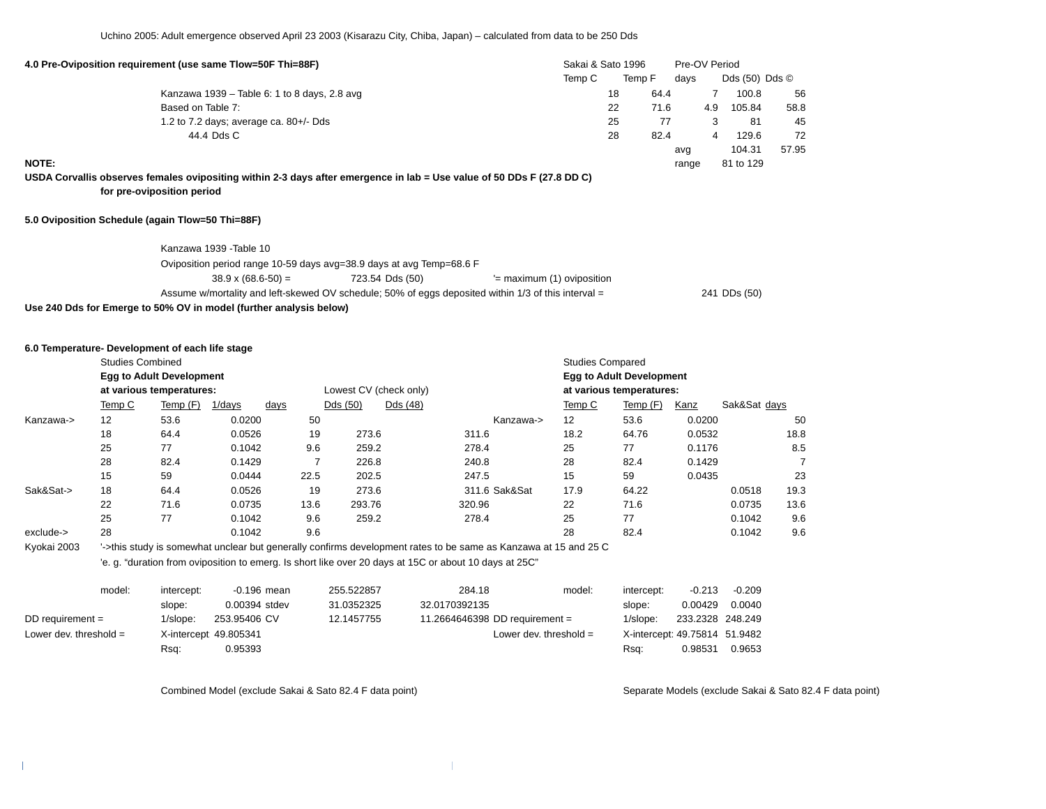Uchino 2005: Adult emergence observed April 23 2003 (Kisarazu City, Chiba, Japan) – calculated from data to be 250 Dds

| 4.0 Pre-Oviposition requirement (use same Tlow=50F Thi=88F)                                                            |        | Sakai & Sato 1996 |        |       |     | Pre-OV Period                 |       |  |
|------------------------------------------------------------------------------------------------------------------------|--------|-------------------|--------|-------|-----|-------------------------------|-------|--|
|                                                                                                                        | Temp C |                   | Temp F | davs  |     | Dds $(50)$ Dds $\circledcirc$ |       |  |
| Kanzawa 1939 – Table 6: 1 to 8 days, 2.8 avg                                                                           |        | 18                | 64.4   |       |     | 100.8                         | 56    |  |
| Based on Table 7:                                                                                                      |        | 22                | 71.6   |       | 4.9 | 105.84                        | 58.8  |  |
| 1.2 to 7.2 days; average ca. $80+/Dds$                                                                                 |        | 25                |        |       |     | 81                            | 45    |  |
| 44.4 Dds C                                                                                                             |        | 28                | 82.4   |       |     | 129.6                         | 72    |  |
|                                                                                                                        |        |                   |        | avq   |     | 104.31                        | 57.95 |  |
| <b>NOTE:</b>                                                                                                           |        |                   |        | range |     | 81 to 129                     |       |  |
| USDA Corvallis observes females ovipositing within 2-3 days after emergence in lab = Use value of 50 DDs F (27.8 DD C) |        |                   |        |       |     |                               |       |  |

**for pre-oviposition period**

### **5.0 Oviposition Schedule (again Tlow=50 Thi=88F)**

| Kanzawa 1939 - Table 10                                              |                                                                                                     |                             |              |  |  |  |  |
|----------------------------------------------------------------------|-----------------------------------------------------------------------------------------------------|-----------------------------|--------------|--|--|--|--|
| Oviposition period range 10-59 days avg=38.9 days at avg Temp=68.6 F |                                                                                                     |                             |              |  |  |  |  |
| $38.9 \times (68.6 - 50) =$                                          | 723.54 Dds (50)                                                                                     | $=$ maximum (1) oviposition |              |  |  |  |  |
|                                                                      | Assume w/mortality and left-skewed OV schedule; 50% of eggs deposited within 1/3 of this interval = |                             | 241 DDs (50) |  |  |  |  |
| Use 240 Dds for Emerge to 50% OV in model (further analysis below)   |                                                                                                     |                             |              |  |  |  |  |

#### **6.0 Temperature- Development of each life stage**

|             | <b>Studies Combined</b> |                                 |        |             | <b>Studies Compared</b> |          |                                                                                                                 |        |                                 |             |              |      |  |  |
|-------------|-------------------------|---------------------------------|--------|-------------|-------------------------|----------|-----------------------------------------------------------------------------------------------------------------|--------|---------------------------------|-------------|--------------|------|--|--|
|             |                         | <b>Egg to Adult Development</b> |        |             |                         |          |                                                                                                                 |        | <b>Egg to Adult Development</b> |             |              |      |  |  |
|             |                         | at various temperatures:        |        |             | Lowest CV (check only)  |          |                                                                                                                 |        | at various temperatures:        |             |              |      |  |  |
|             | Temp C                  | Temp(F)                         | 1/days | <u>days</u> | Dds (50)                | Dds (48) |                                                                                                                 | Temp C | Temp(F)                         | <b>Kanz</b> | Sak&Sat days |      |  |  |
| Kanzawa->   | 12                      | 53.6                            | 0.0200 | 50          |                         |          | Kanzawa->                                                                                                       | 12     | 53.6                            | 0.0200      |              | 50   |  |  |
|             | 18                      | 64.4                            | 0.0526 | 19          | 273.6                   |          | 311.6                                                                                                           | 18.2   | 64.76                           | 0.0532      |              | 18.8 |  |  |
|             | 25                      | 77                              | 0.1042 | 9.6         | 259.2                   |          | 278.4                                                                                                           | 25     | 77                              | 0.1176      |              | 8.5  |  |  |
|             | 28                      | 82.4                            | 0.1429 |             | 226.8                   |          | 240.8                                                                                                           | 28     | 82.4                            | 0.1429      |              |      |  |  |
|             | 15                      | 59                              | 0.0444 | 22.5        | 202.5                   |          | 247.5                                                                                                           | 15     | 59                              | 0.0435      |              | 23   |  |  |
| Sak&Sat->   | 18                      | 64.4                            | 0.0526 | 19          | 273.6                   |          | 311.6 Sak&Sat                                                                                                   | 17.9   | 64.22                           |             | 0.0518       | 19.3 |  |  |
|             | 22                      | 71.6                            | 0.0735 | 13.6        | 293.76                  |          | 320.96                                                                                                          | 22     | 71.6                            |             | 0.0735       | 13.6 |  |  |
|             | 25                      | 77                              | 0.1042 | 9.6         | 259.2                   |          | 278.4                                                                                                           | 25     | 77                              |             | 0.1042       | 9.6  |  |  |
| exclude->   | 28                      |                                 | 0.1042 | 9.6         |                         |          |                                                                                                                 | 28     | 82.4                            |             | 0.1042       | 9.6  |  |  |
| Kyokai 2003 |                         |                                 |        |             |                         |          | '->this study is somewhat unclear but generally confirms development rates to be same as Kanzawa at 15 and 25 C |        |                                 |             |              |      |  |  |
|             |                         |                                 |        |             |                         |          | 'e. g. "duration from oviposition to emerg. Is short like over 20 days at 15C or about 10 days at 25C"          |        |                                 |             |              |      |  |  |

| model:                   | intercept:  | -0.196 mean            | 255.522857 | 284.18                         | model:                   | intercept:                    | $-0.213$         | $-0.209$ |
|--------------------------|-------------|------------------------|------------|--------------------------------|--------------------------|-------------------------------|------------------|----------|
|                          | slope:      | 0.00394 stdev          | 31.0352325 | 32.0170392135                  |                          | slope:                        | 0.00429          | 0.0040   |
| DD requirement $=$       | $1$ /slope: | 253.95406 CV           | 12.1457755 | 11.2664646398 DD requirement = |                          | $1$ /slope:                   | 233.2328 248.249 |          |
| Lower dev. threshold $=$ |             | X-intercept: 49.805341 |            |                                | Lower dev. threshold $=$ | X-intercept: 49.75814 51.9482 |                  |          |
|                          | Rsq:        | 0.95393                |            |                                |                          | Rsq:                          | 0.98531          | 0.9653   |

Combined Model (exclude Sakai & Sato 82.4 F data point) Separate Models (exclude Sakai & Sato 82.4 F data point)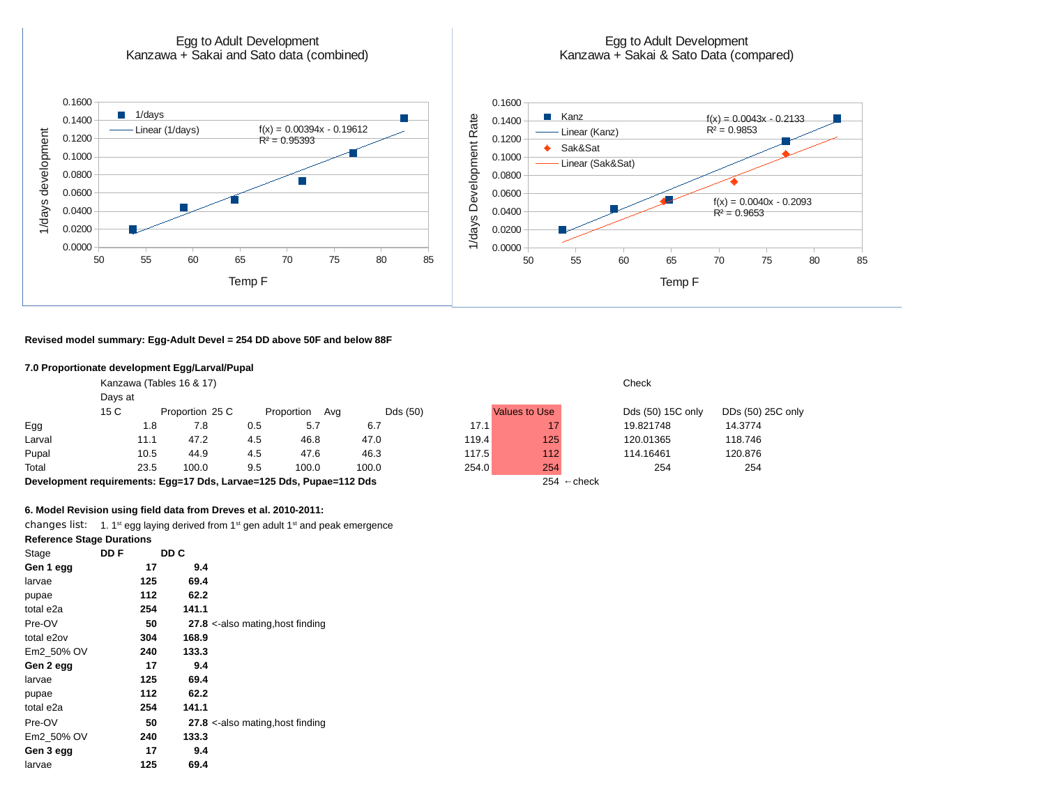

**Revised model summary: Egg-Adult Devel = 254 DD above 50F and below 88F**

#### **7.0 Proportionate development Egg/Larval/Pupal**

|        |                                                                                               | Kanzawa (Tables 16 & 17) |     | Check             |          |       |               |                   |                   |  |
|--------|-----------------------------------------------------------------------------------------------|--------------------------|-----|-------------------|----------|-------|---------------|-------------------|-------------------|--|
|        | Days at                                                                                       |                          |     |                   |          |       |               |                   |                   |  |
|        | 15 C                                                                                          | Proportion 25 C          |     | Proportion<br>Avg | Dds (50) |       | Values to Use | Dds (50) 15C only | DDs (50) 25C only |  |
| Egg    | 1.8                                                                                           | 7.8                      | 0.5 | 5.7               | 6.7      | 17.1  |               | 19.821748         | 14.3774           |  |
| Larval | 11.1                                                                                          | 47.2                     | 4.5 | 46.8              | 47.0     | 119.4 | 125           | 120.01365         | 118.746           |  |
| Pupal  | 10.5                                                                                          | 44.9                     | 4.5 | 47.6              | 46.3     | 117.5 | 112           | 114.16461         | 120.876           |  |
| Total  | 23.5                                                                                          | 100.0                    | 9.5 | 100.0             | 100.0    | 254.0 | 254           | 254               | 254               |  |
|        | $254 \leftarrow$ check<br>Development requirements: Egg=17 Dds, Larvae=125 Dds, Pupae=112 Dds |                          |     |                   |          |       |               |                   |                   |  |

#### **6. Model Revision using field data from Dreves et al. 2010-2011:**

changes list: 1.  $1<sup>st</sup>$  egg laying derived from  $1<sup>st</sup>$  gen adult  $1<sup>st</sup>$  and peak emergence

**Reference Stage Durations**

| Stage      | DD F | DD C  |                                  |
|------------|------|-------|----------------------------------|
| Gen 1 egg  | 17   | 9.4   |                                  |
| larvae     | 125  | 69.4  |                                  |
| pupae      | 112  | 62.2  |                                  |
| total e2a  | 254  | 141.1 |                                  |
| Pre-OV     | 50   |       | 27.8 <-also mating, host finding |
| total e2ov | 304  | 168.9 |                                  |
| Em2 50% OV | 240  | 133.3 |                                  |
| Gen 2 egg  | 17   | 9.4   |                                  |
| larvae     | 125  | 69.4  |                                  |
| pupae      | 112  | 62.2  |                                  |
| total e2a  | 254  | 141.1 |                                  |
| Pre-OV     | 50   |       | 27.8 <-also mating, host finding |
| Em2 50% OV | 240  | 133.3 |                                  |
| Gen 3 egg  | 17   | 9.4   |                                  |
| larvae     | 125  | 69.4  |                                  |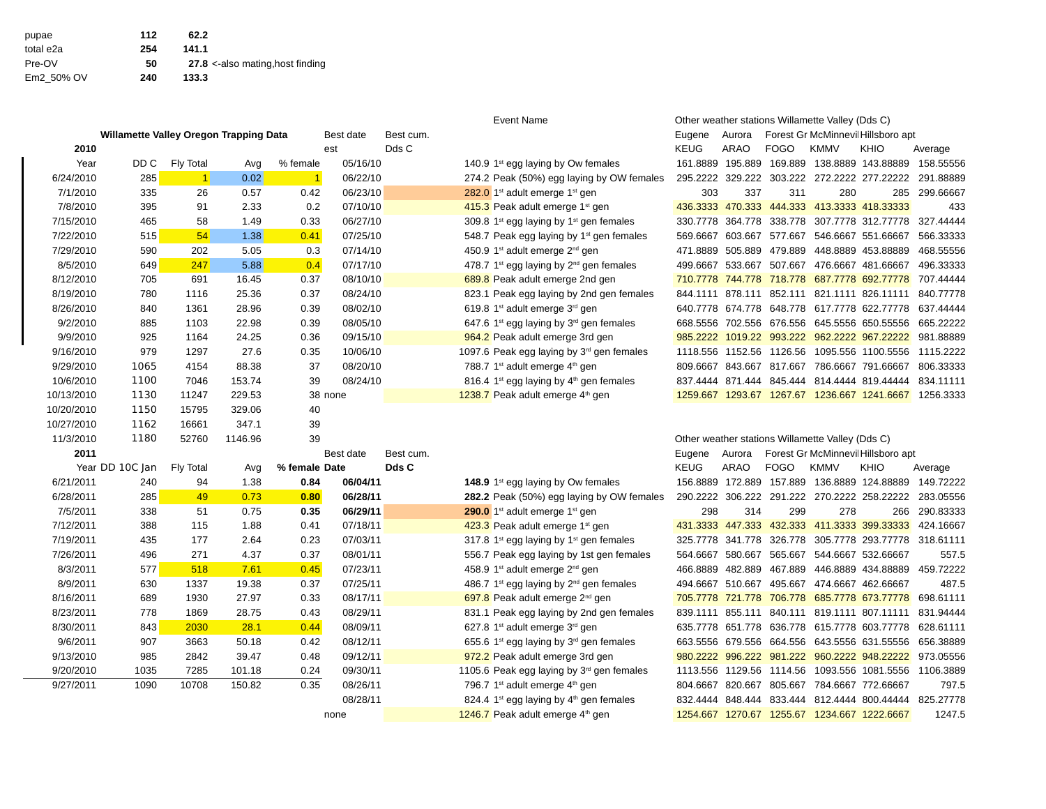| pupae      | 112 | 62.2                             |
|------------|-----|----------------------------------|
| total e2a  | 254 | 141.1                            |
| Pre-OV     | 50  | 27.8 <-also mating, host finding |
| Em2 50% OV | 240 | 133.3                            |

|            | Event Name                             |              |         |               |           |           |  |                                                                 |                          |             | Other weather stations villance valley (Dus $C$ ) |                                                  |                                             |           |
|------------|----------------------------------------|--------------|---------|---------------|-----------|-----------|--|-----------------------------------------------------------------|--------------------------|-------------|---------------------------------------------------|--------------------------------------------------|---------------------------------------------|-----------|
|            | Willamette Valley Oregon Trapping Data |              |         |               | Best date | Best cum. |  |                                                                 | Eugene                   | Aurora      |                                                   |                                                  | Forest Gr McMinnevil Hillsboro apt          |           |
| 2010       |                                        |              |         |               | est       | Dds C     |  |                                                                 | <b>KEUG</b>              | <b>ARAO</b> | <b>FOGO</b>                                       | <b>KMMV</b>                                      | <b>KHIO</b>                                 | Average   |
| Year       | DD C                                   | Fly Total    | Avg     | % female      | 05/16/10  |           |  | 140.9 $1st$ egg laying by Ow females                            |                          |             |                                                   |                                                  | 161.8889 195.889 169.889 138.8889 143.88889 | 158.55556 |
| 6/24/2010  | 285                                    | $\mathbf{1}$ | 0.02    | $\mathbf{1}$  | 06/22/10  |           |  | 274.2 Peak (50%) egg laying by OW females                       |                          |             |                                                   |                                                  | 295.2222 329.222 303.222 272.2222 277.22222 | 291.88889 |
| 7/1/2010   | 335                                    | 26           | 0.57    | 0.42          | 06/23/10  |           |  | 282.0 $1st$ adult emerge $1st$ gen                              | 303                      | 337         | 311                                               | 280                                              | 285                                         | 299.66667 |
| 7/8/2010   | 395                                    | 91           | 2.33    | 0.2           | 07/10/10  |           |  | 415.3 Peak adult emerge 1 <sup>st</sup> gen                     |                          |             |                                                   |                                                  | 436.3333 470.333 444.333 413.3333 418.33333 | 433       |
| 7/15/2010  | 465                                    | 58           | 1.49    | 0.33          | 06/27/10  |           |  | 309.8 1 <sup>st</sup> egg laying by 1 <sup>st</sup> gen females |                          |             |                                                   |                                                  | 330.7778 364.778 338.778 307.7778 312.77778 | 327.44444 |
| 7/22/2010  | 515                                    | 54           | 1.38    | 0.41          | 07/25/10  |           |  | 548.7 Peak egg laying by $1st$ gen females                      |                          |             | 569.6667 603.667 577.667                          |                                                  | 546.6667 551.66667                          | 566.33333 |
| 7/29/2010  | 590                                    | 202          | 5.05    | 0.3           | 07/14/10  |           |  | 450.9 1 <sup>st</sup> adult emerge 2 <sup>nd</sup> gen          |                          |             |                                                   |                                                  | 471.8889 505.889 479.889 448.8889 453.88889 | 468.55556 |
| 8/5/2010   | 649                                    | 247          | 5.88    | 0.4           | 07/17/10  |           |  | 478.7 $1st$ egg laying by $2nd$ gen females                     |                          |             |                                                   |                                                  | 499.6667 533.667 507.667 476.6667 481.66667 | 496.33333 |
| 8/12/2010  | 705                                    | 691          | 16.45   | 0.37          | 08/10/10  |           |  | 689.8 Peak adult emerge 2nd gen                                 |                          |             |                                                   |                                                  | 710.7778 744.778 718.778 687.7778 692.77778 | 707.44444 |
| 8/19/2010  | 780                                    | 1116         | 25.36   | 0.37          | 08/24/10  |           |  | 823.1 Peak egg laying by 2nd gen females                        |                          |             |                                                   |                                                  | 844.1111 878.111 852.111 821.1111 826.11111 | 840.77778 |
| 8/26/2010  | 840                                    | 1361         | 28.96   | 0.39          | 08/02/10  |           |  | 619.8 1st adult emerge 3rd gen                                  |                          |             |                                                   |                                                  | 640.7778 674.778 648.778 617.7778 622.77778 | 637.44444 |
| 9/2/2010   | 885                                    | 1103         | 22.98   | 0.39          | 08/05/10  |           |  | 647.6 $1st$ egg laying by $3rd$ gen females                     |                          |             |                                                   |                                                  | 668.5556 702.556 676.556 645.5556 650.55556 | 665.22222 |
| 9/9/2010   | 925                                    | 1164         | 24.25   | 0.36          | 09/15/10  |           |  | 964.2 Peak adult emerge 3rd gen                                 |                          |             |                                                   |                                                  | 985.2222 1019.22 993.222 962.2222 967.22222 | 981.88889 |
| 9/16/2010  | 979                                    | 1297         | 27.6    | 0.35          | 10/06/10  |           |  | 1097.6 Peak egg laying by 3rd gen females                       |                          |             |                                                   |                                                  | 1118.556 1152.56 1126.56 1095.556 1100.5556 | 1115.2222 |
| 9/29/2010  | 1065                                   | 4154         | 88.38   | 37            | 08/20/10  |           |  | 788.7 1 <sup>st</sup> adult emerge 4 <sup>th</sup> gen          |                          |             |                                                   |                                                  | 809.6667 843.667 817.667 786.6667 791.66667 | 806.33333 |
| 10/6/2010  | 1100                                   | 7046         | 153.74  | 39            | 08/24/10  |           |  | 816.4 1 <sup>st</sup> egg laying by $4th$ gen females           |                          |             |                                                   |                                                  | 837.4444 871.444 845.444 814.4444 819.44444 | 834.11111 |
| 10/13/2010 | 1130                                   | 11247        | 229.53  |               | 38 none   |           |  | 1238.7 Peak adult emerge 4th gen                                |                          |             |                                                   |                                                  | 1259.667 1293.67 1267.67 1236.667 1241.6667 | 1256.3333 |
| 10/20/2010 | 1150                                   | 15795        | 329.06  | 40            |           |           |  |                                                                 |                          |             |                                                   |                                                  |                                             |           |
| 10/27/2010 | 1162                                   | 16661        | 347.1   | 39            |           |           |  |                                                                 |                          |             |                                                   |                                                  |                                             |           |
| 11/3/2010  | 1180                                   | 52760        | 1146.96 | 39            |           |           |  |                                                                 |                          |             |                                                   | Other weather stations Willamette Valley (Dds C) |                                             |           |
| 2011       |                                        |              |         |               | Best date | Best cum. |  |                                                                 | Eugene                   | Aurora      |                                                   | Forest Gr McMinnevil Hillsboro apt               |                                             |           |
|            | Year DD 10C Jan                        | Fly Total    | Avg     | % female Date |           | Dds C     |  |                                                                 | <b>KEUG</b>              | <b>ARAO</b> | <b>FOGO</b>                                       | <b>KMMV</b>                                      | <b>KHIO</b>                                 | Average   |
| 6/21/2011  | 240                                    | 94           | 1.38    | 0.84          | 06/04/11  |           |  | 148.9 $1st$ egg laying by Ow females                            |                          |             |                                                   |                                                  | 156.8889 172.889 157.889 136.8889 124.88889 | 149.72222 |
| 6/28/2011  | 285                                    | 49           | 0.73    | 0.80          | 06/28/11  |           |  | 282.2 Peak (50%) egg laying by OW females                       |                          |             |                                                   |                                                  | 290.2222 306.222 291.222 270.2222 258.22222 | 283.05556 |
| 7/5/2011   | 338                                    | 51           | 0.75    | 0.35          | 06/29/11  |           |  | 290.0 1 <sup>st</sup> adult emerge 1 <sup>st</sup> gen          | 298                      | 314         | 299                                               | 278                                              | 266                                         | 290.83333 |
| 7/12/2011  | 388                                    | 115          | 1.88    | 0.41          | 07/18/11  |           |  | 423.3 Peak adult emerge 1 <sup>st</sup> gen                     |                          |             |                                                   |                                                  | 431.3333 447.333 432.333 411.3333 399.33333 | 424.16667 |
| 7/19/2011  | 435                                    | 177          | 2.64    | 0.23          | 07/03/11  |           |  | 317.8 $1st$ egg laying by $1st$ gen females                     |                          |             |                                                   |                                                  | 325.7778 341.778 326.778 305.7778 293.77778 | 318.61111 |
| 7/26/2011  | 496                                    | 271          | 4.37    | 0.37          | 08/01/11  |           |  | 556.7 Peak egg laying by 1st gen females                        | 564.6667 580.667         |             | 565.667                                           |                                                  | 544.6667 532.66667                          | 557.5     |
| 8/3/2011   | 577                                    | 518          | 7.61    | 0.45          | 07/23/11  |           |  | 458.9 1st adult emerge 2 <sup>nd</sup> gen                      | 466.8889                 | 482.889     | 467.889                                           |                                                  | 446.8889 434.88889                          | 459.72222 |
| 8/9/2011   | 630                                    | 1337         | 19.38   | 0.37          | 07/25/11  |           |  | 486.7 $1st$ egg laying by $2nd$ gen females                     |                          |             | 494.6667 510.667 495.667                          |                                                  | 474.6667 462.66667                          | 487.5     |
| 8/16/2011  | 689                                    | 1930         | 27.97   | 0.33          | 08/17/11  |           |  | 697.8 Peak adult emerge 2 <sup>nd</sup> gen                     | 705.7778 721.778 706.778 |             |                                                   |                                                  | 685.7778 673.77778                          | 698.61111 |
| 8/23/2011  | 778                                    | 1869         | 28.75   | 0.43          | 08/29/11  |           |  | 831.1 Peak egg laying by 2nd gen females                        |                          |             |                                                   |                                                  | 839.1111 855.111 840.111 819.1111 807.11111 | 831.94444 |
| 8/30/2011  | 843                                    | 2030         | 28.1    | 0.44          | 08/09/11  |           |  | 627.8 1st adult emerge 3rd gen                                  |                          |             |                                                   |                                                  | 635.7778 651.778 636.778 615.7778 603.77778 | 628.61111 |
| 9/6/2011   | 907                                    | 3663         | 50.18   | 0.42          | 08/12/11  |           |  | 655.6 $1st$ egg laying by $3rd$ gen females                     |                          |             |                                                   |                                                  | 663.5556 679.556 664.556 643.5556 631.55556 | 656.38889 |
| 9/13/2010  | 985                                    | 2842         | 39.47   | 0.48          | 09/12/11  |           |  | 972.2 Peak adult emerge 3rd gen                                 |                          |             |                                                   |                                                  | 980.2222 996.222 981.222 960.2222 948.22222 | 973.05556 |
|            |                                        |              |         |               |           |           |  |                                                                 |                          |             |                                                   |                                                  |                                             |           |

| <b>Event Name</b>                     | Other weather stations Willamette Valley (Dds C) |         |             |             |                                    |           |  |  |
|---------------------------------------|--------------------------------------------------|---------|-------------|-------------|------------------------------------|-----------|--|--|
|                                       | Eugene                                           | Aurora  |             |             | Forest Gr McMinnevil Hillsboro apt |           |  |  |
|                                       | <b>KEUG</b>                                      | ARAO    | <b>FOGO</b> | <b>KMMV</b> | <b>KHIO</b>                        | Average   |  |  |
| $1st$ egg laying by Ow females        | 161.8889                                         | 195.889 | 169.889     |             | 138.8889 143.88889                 | 158.55556 |  |  |
| Peak (50%) egg laying by OW females   | 295.2222                                         | 329.222 | 303.222     |             | 272.2222 277.22222                 | 291.88889 |  |  |
| $1st$ adult emerge $1st$ gen          | 303                                              | 337     | 311         | 280         | 285                                | 299.66667 |  |  |
| Peak adult emerge 1 <sup>st</sup> gen | 436.3333                                         | 470.333 | 444.333     |             | 413.3333 418.33333                 | 433       |  |  |
| $1st$ egg laying by $1st$ gen females | 330.7778                                         | 364.778 | 338.778     |             | 307.7778 312.77778                 | 327.44444 |  |  |
| Peak egg laying by $1st$ gen females  | 569.6667                                         | 603.667 | 577.667     |             | 546.6667 551.66667                 | 566.33333 |  |  |
| $1st$ adult emerge $2nd$ gen          | 471.8889                                         | 505.889 | 479.889     | 448.8889    | 453.88889                          | 468.55556 |  |  |
| $1st$ egg laying by $2nd$ gen females | 499.6667                                         | 533.667 | 507.667     |             | 476.6667 481.66667                 | 496.33333 |  |  |
| Peak adult emerge 2nd gen             | 710.7778                                         | 744.778 | 718.778     |             | 687.7778 692.77778                 | 707.44444 |  |  |
| Peak egg laying by 2nd gen females    | 844.1111                                         | 878.111 | 852.111     |             | 821.1111 826.11111                 | 840.77778 |  |  |
| $1st$ adult emerge $3rd$ gen          | 640.7778                                         | 674.778 | 648.778     |             | 617.7778 622.77778                 | 637.44444 |  |  |
| $1st$ egg laying by $3rd$ gen females | 668.5556                                         | 702.556 | 676.556     |             | 645.5556 650.55556                 | 665.22222 |  |  |
| Peak adult emerge 3rd gen             | 985.2222                                         | 1019.22 | 993.222     |             | 962.2222 967.22222                 | 981.88889 |  |  |
| Peak egg laying by $3rd$ gen females  | 1118.556                                         | 1152.56 | 1126.56     |             | 1095.556 1100.5556                 | 1115.2222 |  |  |
| $1st$ adult emerge $4th$ gen          | 809.6667                                         | 843.667 | 817.667     |             | 786.6667 791.66667                 | 806.33333 |  |  |
| $1st$ egg laying by $4th$ gen females | 837.4444                                         | 871.444 | 845.444     |             | 814.4444 819.44444                 | 834.11111 |  |  |
| Peak adult emerge 4 <sup>th</sup> gen | 1259.667                                         | 1293.67 | 1267.67     |             | 1236.667 1241.6667                 | 1256.3333 |  |  |
|                                       |                                                  |         |             |             |                                    |           |  |  |

| Other weather stations Willamette Valley (Dds C) |  |
|--------------------------------------------------|--|
|--------------------------------------------------|--|

| 2011      |                 |           |        |               | Best date | Best cum. |                                                          | Eugene                   | Aurora |             |             | Forest Gr McMinnevil Hillsboro apt                    |           |
|-----------|-----------------|-----------|--------|---------------|-----------|-----------|----------------------------------------------------------|--------------------------|--------|-------------|-------------|-------------------------------------------------------|-----------|
|           | Year DD 10C Jan | Fly Total | Avg    | % female Date |           | Dds C     |                                                          | <b>KEUG</b>              | ARAO   | <b>FOGO</b> | <b>KMMV</b> | KHIO                                                  | Average   |
| 6/21/2011 | 240             | 94        | 1.38   | 0.84          | 06/04/11  |           | 148.9 $1st$ egg laying by Ow females                     | 156.8889 172.889 157.889 |        |             |             | 136.8889 124.88889                                    | 149.72222 |
| 6/28/2011 | 285             | 49        | 0.73   | 0.80          | 06/28/11  |           | <b>282.2</b> Peak (50%) egg laying by OW females         |                          |        |             |             | 290.2222 306.222 291.222 270.2222 258.22222           | 283.05556 |
| 7/5/2011  | 338             | 51        | 0.75   | 0.35          | 06/29/11  |           | 290.0 $1st$ adult emerge $1st$ gen                       | 298                      | 314    | 299         | 278         | 266                                                   | 290.83333 |
| 7/12/2011 | 388             | 115       | 1.88   | 0.41          | 07/18/11  |           | $423.3$ Peak adult emerge $1st$ gen                      |                          |        |             |             | 431.3333 447.333 432.333 411.3333 399.33333           | 424.16667 |
| 7/19/2011 | 435             | 177       | 2.64   | 0.23          | 07/03/11  |           | 317.8 $1st$ egg laying by $1st$ gen females              | 325.7778 341.778 326.778 |        |             |             | 305.7778 293.77778                                    | 318.61111 |
| 7/26/2011 | 496             | 271       | 4.37   | 0.37          | 08/01/11  |           | 556.7 Peak egg laying by 1st gen females                 | 564.6667 580.667 565.667 |        |             |             | 544.6667 532.66667                                    | 557.5     |
| 8/3/2011  | 577             | 518       | 7.61   | 0.45          | 07/23/11  |           | 458.9 $1st$ adult emerge $2nd$ gen                       | 466.8889 482.889 467.889 |        |             |             | 446.8889 434.88889                                    | 459.72222 |
| 8/9/2011  | 630             | 1337      | 19.38  | 0.37          | 07/25/11  |           | 486.7 $1st$ egg laying by $2nd$ gen females              | 494.6667 510.667         |        | 495.667     |             | 474.6667 462.66667                                    | 487.5     |
| 8/16/2011 | 689             | 1930      | 27.97  | 0.33          | 08/17/11  |           | 697.8 Peak adult emerge 2 <sup>nd</sup> gen              |                          |        |             |             | 705.7778 721.778 706.778 685.7778 673.77778           | 698.61111 |
| 8/23/2011 | 778             | 1869      | 28.75  | 0.43          | 08/29/11  |           | 831.1 Peak egg laying by 2nd gen females                 |                          |        |             |             | 839.1111 855.111 840.111 819.1111 807.11111           | 831.94444 |
| 8/30/2011 | 843             | 2030      | 28.1   | 0.44          | 08/09/11  |           | $627.8$ 1 <sup>st</sup> adult emerge 3 <sup>rd</sup> gen |                          |        |             |             | 635.7778 651.778 636.778 615.7778 603.77778           | 628.61111 |
| 9/6/2011  | 907             | 3663      | 50.18  | 0.42          | 08/12/11  |           | 655.6 $1st$ egg laying by 3 <sup>rd</sup> gen females    |                          |        |             |             | 663.5556 679.556 664.556 643.5556 631.55556           | 656.38889 |
| 9/13/2010 | 985             | 2842      | 39.47  | 0.48          | 09/12/11  |           | 972.2 Peak adult emerge 3rd gen                          |                          |        |             |             | 980.2222 996.222 981.222 960.2222 948.22222 973.05556 |           |
| 9/20/2010 | 1035            | 7285      | 101.18 | 0.24          | 09/30/11  |           | 1105.6 Peak egg laying by $3rd$ gen females              |                          |        |             |             | 1113.556 1129.56 1114.56 1093.556 1081.5556 1106.3889 |           |
| 9/27/2011 | 1090            | 10708     | 150.82 | 0.35          | 08/26/11  |           | 796.7 1 <sup>st</sup> adult emerge 4 <sup>th</sup> gen   | 804.6667 820.667 805.667 |        |             |             | 784.6667 772.66667                                    | 797.5     |
|           |                 |           |        |               | 08/28/11  |           | 824.4 $1st$ egg laying by $4th$ gen females              |                          |        |             |             | 832.4444 848.444 833.444 812.4444 800.44444           | 825.27778 |
|           |                 |           |        |               | none      |           | 1246.7 Peak adult emerge 4th gen                         |                          |        |             |             | 1254.667 1270.67 1255.67 1234.667 1222.6667           | 1247.5    |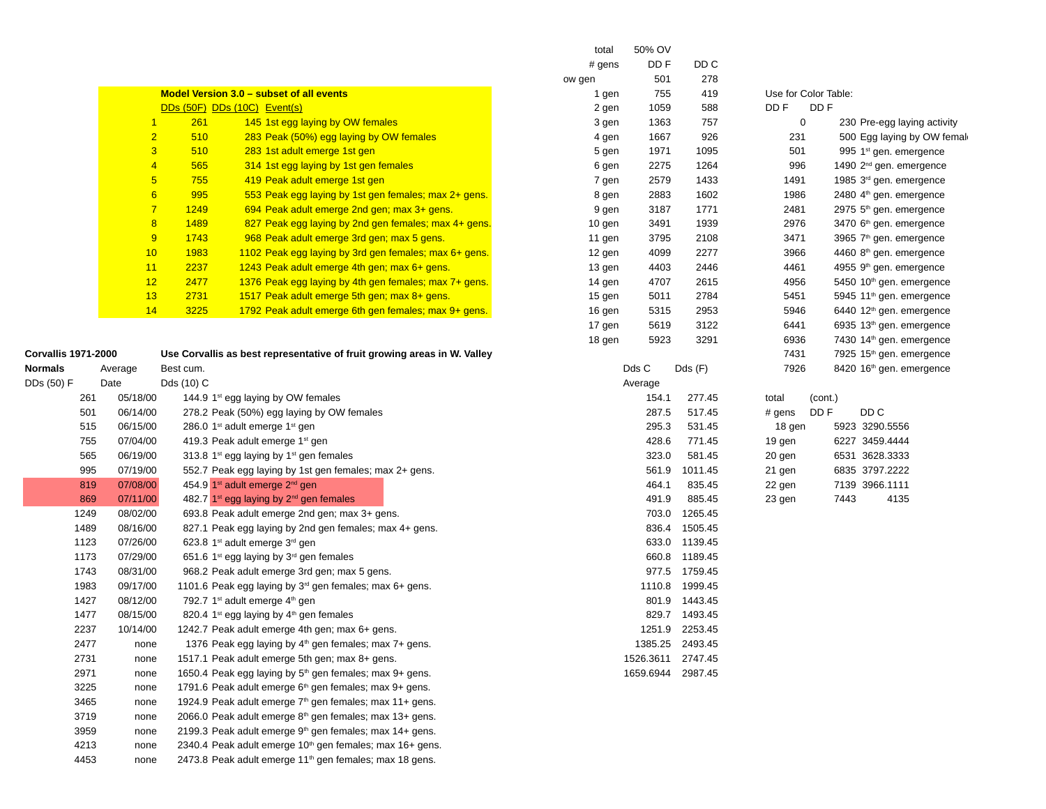|                     |                 |            |                                                                          | total    | 50% OV            | DD C           |                                      |                                      |
|---------------------|-----------------|------------|--------------------------------------------------------------------------|----------|-------------------|----------------|--------------------------------------|--------------------------------------|
|                     |                 |            |                                                                          | $#$ gens | DD F              | 278            |                                      |                                      |
|                     |                 |            | Model Version 3.0 - subset of all events                                 | ow gen   | 501               | 419            |                                      |                                      |
|                     |                 |            |                                                                          | 1 gen    | 755<br>1059       |                | Use for Color Table:<br>DD F<br>DD F |                                      |
|                     | $\mathbf{1}$    | 261        | DDs (50F) DDs (10C) Event(s)                                             | 2 gen    |                   | 588            |                                      |                                      |
|                     | $\overline{2}$  | 510        | 145 1st egg laying by OW females                                         | 3 gen    | 1363              | 757            | 0                                    | 230 Pre-egg laying activity          |
|                     |                 |            | 283 Peak (50%) egg laying by OW females                                  | 4 gen    | 1667              | 926            | 231                                  | 500 Egg laying by OW femal           |
|                     | $\overline{3}$  | 510        | 283 1st adult emerge 1st gen                                             | 5 gen    | 1971              | 1095           | 501                                  | 995 $1st$ gen. emergence             |
|                     | $\overline{4}$  | 565        | 314 1st egg laying by 1st gen females                                    | 6 gen    | 2275              | 1264           | 996                                  | 1490 2 <sup>nd</sup> gen. emergence  |
|                     | $5\phantom{.0}$ | 755        | 419 Peak adult emerge 1st gen                                            | 7 gen    | 2579              | 1433           | 1491                                 | 1985 3rd gen. emergence              |
|                     | 6               | 995        | 553 Peak egg laying by 1st gen females; max 2+ gens.                     | 8 gen    | 2883              | 1602           | 1986                                 | 2480 4 <sup>th</sup> gen. emergence  |
|                     | $\overline{7}$  | 1249       | 694 Peak adult emerge 2nd gen; max 3+ gens.                              | 9 gen    | 3187              | 1771           | 2481                                 | 2975 5 <sup>th</sup> gen. emergence  |
|                     | 8               | 1489       | 827 Peak egg laying by 2nd gen females; max 4+ gens.                     | 10 gen   | 3491              | 1939           | 2976                                 | 3470 6 <sup>th</sup> gen. emergence  |
|                     | 9               | 1743       | 968 Peak adult emerge 3rd gen; max 5 gens.                               | 11 gen   | 3795              | 2108           | 3471                                 | 3965 7 <sup>th</sup> gen. emergence  |
|                     | 10              | 1983       | 1102 Peak egg laying by 3rd gen females; max 6+ gens.                    | 12 gen   | 4099              | 2277           | 3966                                 | 4460 8 <sup>th</sup> gen. emergence  |
|                     | 11              | 2237       | 1243 Peak adult emerge 4th gen; max 6+ gens.                             | 13 gen   | 4403              | 2446           | 4461                                 | 4955 9th gen. emergence              |
|                     | 12              | 2477       | 1376 Peak egg laying by 4th gen females; max 7+ gens.                    | 14 gen   | 4707              | 2615           | 4956                                 | 5450 10th gen. emergence             |
|                     | 13              | 2731       | 1517 Peak adult emerge 5th gen; max 8+ gens.                             | 15 gen   | 5011              | 2784           | 5451                                 | 5945 11 <sup>th</sup> gen. emergence |
|                     | 14              | 3225       | 1792 Peak adult emerge 6th gen females; max 9+ gens.                     | 16 gen   | 5315              | 2953           | 5946                                 | 6440 12 <sup>th</sup> gen. emergence |
|                     |                 |            |                                                                          | 17 gen   | 5619              | 3122           | 6441                                 | 6935 13th gen. emergence             |
|                     |                 |            |                                                                          | 18 gen   | 5923              | 3291           | 6936                                 | 7430 14 <sup>th</sup> gen. emergence |
| Corvallis 1971-2000 |                 |            | Use Corvallis as best representative of fruit growing areas in W. Valley |          |                   |                | 7431                                 | 7925 15 <sup>th</sup> gen. emergence |
| Normals             | Average         | Best cum.  |                                                                          |          | Dds C             | Dds(F)         | 7926                                 | 8420 16 <sup>th</sup> gen. emergence |
| DDs (50) F          | Date            | Dds (10) C |                                                                          |          | Average           |                |                                      |                                      |
| 261                 | 05/18/00        |            | 144.9 $1st$ egg laying by OW females                                     |          | 154.1             | 277.45         | total<br>(cont.)                     |                                      |
| 501                 | 06/14/00        |            | 278.2 Peak (50%) egg laying by OW females                                |          | 287.5             | 517.45         | $#$ gens<br>DD F                     | DD C                                 |
| 515                 | 06/15/00        |            | 286.0 1 <sup>st</sup> adult emerge 1 <sup>st</sup> gen                   |          | 295.3             | 531.45         | 18 gen                               | 5923 3290.5556                       |
| 755                 | 07/04/00        |            | 419.3 Peak adult emerge $1st$ gen                                        |          | 428.6             | 771.45         | 19 gen                               | 6227 3459.4444                       |
| 565                 | 06/19/00        |            | 313.8 $1^{st}$ egg laying by $1^{st}$ gen females                        |          | 323.0             | 581.45         | 20 gen                               | 6531 3628.3333                       |
| 995                 | 07/19/00        |            | 552.7 Peak egg laying by 1st gen females; max 2+ gens.                   |          | 561.9             | 1011.45        | 21 gen                               | 6835 3797.2222                       |
| 819                 | 07/08/00        |            | 454.9 1st adult emerge 2 <sup>nd</sup> gen                               |          | 464.1             | 835.45         | 22 gen                               | 7139 3966.1111                       |
| 869                 | 07/11/00        |            | 482.7 1 <sup>st</sup> egg laying by 2 <sup>nd</sup> gen females          |          | 491.9             | 885.45         | 23 gen                               | 7443<br>4135                         |
| 1249                | 08/02/00        |            | 693.8 Peak adult emerge 2nd gen; max 3+ gens.                            |          |                   | 703.0 1265.45  |                                      |                                      |
| 1489                | 08/16/00        |            | 827.1 Peak egg laying by 2nd gen females; max 4+ gens.                   |          |                   | 836.4 1505.45  |                                      |                                      |
| 1123                | 07/26/00        |            | 623.8 1 <sup>st</sup> adult emerge 3 <sup>rd</sup> gen                   |          |                   | 633.0 1139.45  |                                      |                                      |
| 1173                | 07/29/00        |            | 651.6 1 <sup>st</sup> egg laying by 3 <sup>rd</sup> gen females          |          |                   | 660.8 1189.45  |                                      |                                      |
| 1743                | 08/31/00        |            | 968.2 Peak adult emerge 3rd gen; max 5 gens.                             |          |                   | 977.5 1759.45  |                                      |                                      |
| 1983                | 09/17/00        |            | 1101.6 Peak egg laying by $3rd$ gen females; max 6+ gens.                |          |                   | 1110.8 1999.45 |                                      |                                      |
| 1427                | 08/12/00        |            | 792.7 $1st$ adult emerge $4th$ gen                                       |          |                   | 801.9 1443.45  |                                      |                                      |
| 1477                | 08/15/00        |            | 820.4 $1st$ egg laying by $4th$ gen females                              |          |                   | 829.7 1493.45  |                                      |                                      |
| 2237                | 10/14/00        |            | 1242.7 Peak adult emerge 4th gen; max 6+ gens.                           |          |                   | 1251.9 2253.45 |                                      |                                      |
| 2477                | none            |            | 1376 Peak egg laying by $4th$ gen females; max 7+ gens.                  |          | 1385.25 2493.45   |                |                                      |                                      |
| 2731                | none            |            | 1517.1 Peak adult emerge 5th gen; max 8+ gens.                           |          | 1526.3611 2747.45 |                |                                      |                                      |
| 2971                | none            |            | 1650.4 Peak egg laying by 5 <sup>th</sup> gen females; max 9+ gens.      |          | 1659.6944 2987.45 |                |                                      |                                      |
| 3225                | none            |            | 1791.6 Peak adult emerge 6 <sup>th</sup> gen females; max 9+ gens.       |          |                   |                |                                      |                                      |
| 3465                | none            |            | 1924.9 Peak adult emerge 7 <sup>th</sup> gen females; max 11+ gens.      |          |                   |                |                                      |                                      |
| 3719                | none            |            | 2066.0 Peak adult emerge 8 <sup>th</sup> gen females; max 13+ gens.      |          |                   |                |                                      |                                      |
| 3959                | none            |            | 2199.3 Peak adult emerge 9 <sup>th</sup> gen females; max 14+ gens.      |          |                   |                |                                      |                                      |
| 4213                | none            |            | 2340.4 Peak adult emerge 10 <sup>th</sup> gen females; max 16+ gens.     |          |                   |                |                                      |                                      |
| 4453                | none            |            | 2473.8 Peak adult emerge 11 <sup>th</sup> gen females; max 18 gens.      |          |                   |                |                                      |                                      |
|                     |                 |            |                                                                          |          |                   |                |                                      |                                      |